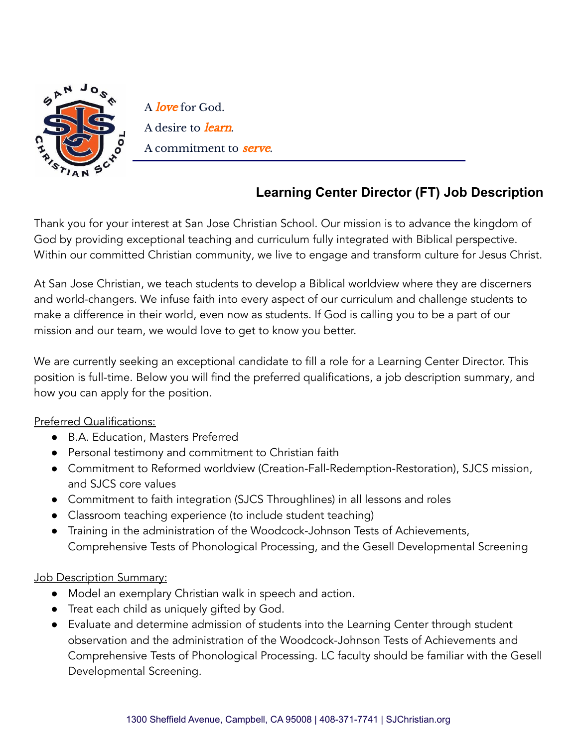

A love for God. A desire to *learn*. A commitment to **serve**.

## **Learning Center Director (FT) Job Description**

Thank you for your interest at San Jose Christian School. Our mission is to advance the kingdom of God by providing exceptional teaching and curriculum fully integrated with Biblical perspective. Within our committed Christian community, we live to engage and transform culture for Jesus Christ.

At San Jose Christian, we teach students to develop a Biblical worldview where they are discerners and world-changers. We infuse faith into every aspect of our curriculum and challenge students to make a difference in their world, even now as students. If God is calling you to be a part of our mission and our team, we would love to get to know you better.

We are currently seeking an exceptional candidate to fill a role for a Learning Center Director. This position is full-time. Below you will find the preferred qualifications, a job description summary, and how you can apply for the position.

## Preferred Qualifications:

- B.A. Education, Masters Preferred
- Personal testimony and commitment to Christian faith
- Commitment to Reformed worldview (Creation-Fall-Redemption-Restoration), SJCS mission, and SJCS core values
- Commitment to faith integration (SJCS Throughlines) in all lessons and roles
- Classroom teaching experience (to include student teaching)
- Training in the administration of the Woodcock-Johnson Tests of Achievements, Comprehensive Tests of Phonological Processing, and the Gesell Developmental Screening

## Job Description Summary:

- Model an exemplary Christian walk in speech and action.
- Treat each child as uniquely gifted by God.
- Evaluate and determine admission of students into the Learning Center through student observation and the administration of the Woodcock-Johnson Tests of Achievements and Comprehensive Tests of Phonological Processing. LC faculty should be familiar with the Gesell Developmental Screening.